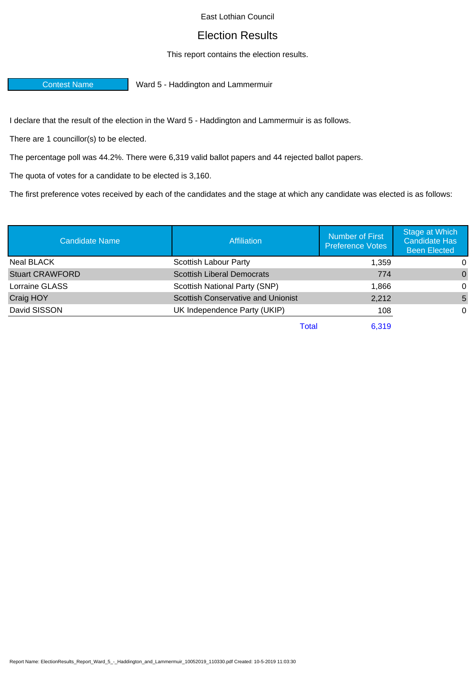East Lothian Council

## Election Results

## This report contains the election results.

Contest Name Ward 5 - Haddington and Lammermuir

I declare that the result of the election in the Ward 5 - Haddington and Lammermuir is as follows.

There are 1 councillor(s) to be elected.

The percentage poll was 44.2%. There were 6,319 valid ballot papers and 44 rejected ballot papers.

The quota of votes for a candidate to be elected is 3,160.

The first preference votes received by each of the candidates and the stage at which any candidate was elected is as follows:

| <b>Candidate Name</b>  | Affiliation                               | <b>Number of First</b><br><b>Preference Votes</b> | Stage at Which<br><b>Candidate Has</b><br><b>Been Elected</b> |
|------------------------|-------------------------------------------|---------------------------------------------------|---------------------------------------------------------------|
| Neal BLACK             | Scottish Labour Party                     | 1,359                                             | 0                                                             |
| <b>Stuart CRAWFORD</b> | <b>Scottish Liberal Democrats</b>         | 774                                               | $\Omega$                                                      |
| Lorraine GLASS         | Scottish National Party (SNP)             | 1,866                                             | $\Omega$                                                      |
| Craig HOY              | <b>Scottish Conservative and Unionist</b> | 2,212                                             | 5                                                             |
| David SISSON           | UK Independence Party (UKIP)              | 108                                               | $\Omega$                                                      |
|                        | Total                                     | 6.319                                             |                                                               |